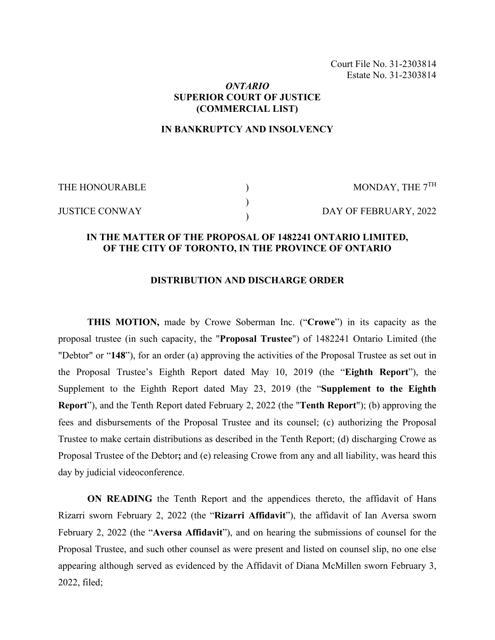Court File No. 31-2303814 Estate No. 31-2303814

### *ONTARIO* **SUPERIOR COURT OF JUSTICE (COMMERCIAL LIST)**

### **IN BANKRUPTCY AND INSOLVENCY**

) ) )

THE HONOURABLE

MONDAY, THE 7TH

JUSTICE CONWAY

DAY OF FEBRUARY, 2022

# **IN THE MATTER OF THE PROPOSAL OF 1482241 ONTARIO LIMITED, OF THE CITY OF TORONTO, IN THE PROVINCE OF ONTARIO**

#### **DISTRIBUTION AND DISCHARGE ORDER**

**THIS MOTION,** made by Crowe Soberman Inc. ("**Crowe**") in its capacity as the proposal trustee (in such capacity, the "**Proposal Trustee**") of 1482241 Ontario Limited (the "Debtor" or "**148**"), for an order (a) approving the activities of the Proposal Trustee as set out in the Proposal Trustee's Eighth Report dated May 10, 2019 (the "**Eighth Report**"), the Supplement to the Eighth Report dated May 23, 2019 (the "**Supplement to the Eighth Report**"), and the Tenth Report dated February 2, 2022 (the "**Tenth Report**"); (b) approving the fees and disbursements of the Proposal Trustee and its counsel; (c) authorizing the Proposal Trustee to make certain distributions as described in the Tenth Report; (d) discharging Crowe as Proposal Trustee of the Debtor**;** and (e) releasing Crowe from any and all liability, was heard this day by judicial videoconference.

**ON READING** the Tenth Report and the appendices thereto, the affidavit of Hans Rizarri sworn February 2, 2022 (the "**Rizarri Affidavit**"), the affidavit of Ian Aversa sworn February 2, 2022 (the "**Aversa Affidavit**"), and on hearing the submissions of counsel for the Proposal Trustee, and such other counsel as were present and listed on counsel slip, no one else appearing although served as evidenced by the Affidavit of Diana McMillen sworn February 3, 2022, filed;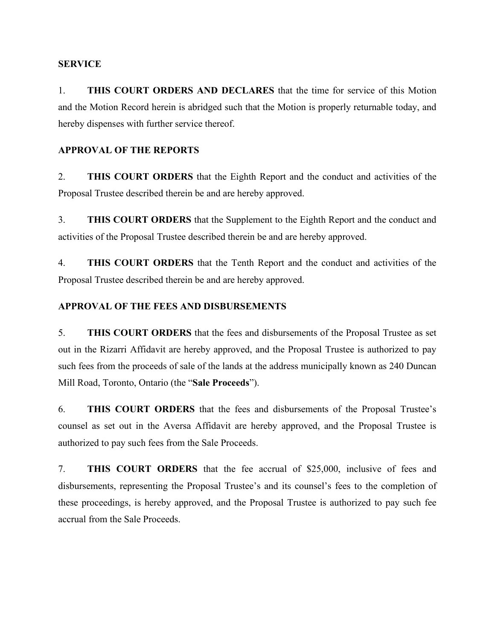### **SERVICE**

1. **THIS COURT ORDERS AND DECLARES** that the time for service of this Motion and the Motion Record herein is abridged such that the Motion is properly returnable today, and hereby dispenses with further service thereof.

# **APPROVAL OF THE REPORTS**

2. **THIS COURT ORDERS** that the Eighth Report and the conduct and activities of the Proposal Trustee described therein be and are hereby approved.

3. **THIS COURT ORDERS** that the Supplement to the Eighth Report and the conduct and activities of the Proposal Trustee described therein be and are hereby approved.

4. **THIS COURT ORDERS** that the Tenth Report and the conduct and activities of the Proposal Trustee described therein be and are hereby approved.

# **APPROVAL OF THE FEES AND DISBURSEMENTS**

5. **THIS COURT ORDERS** that the fees and disbursements of the Proposal Trustee as set out in the Rizarri Affidavit are hereby approved, and the Proposal Trustee is authorized to pay such fees from the proceeds of sale of the lands at the address municipally known as 240 Duncan Mill Road, Toronto, Ontario (the "**Sale Proceeds**").

6. **THIS COURT ORDERS** that the fees and disbursements of the Proposal Trustee's counsel as set out in the Aversa Affidavit are hereby approved, and the Proposal Trustee is authorized to pay such fees from the Sale Proceeds.

7. **THIS COURT ORDERS** that the fee accrual of \$25,000, inclusive of fees and disbursements, representing the Proposal Trustee's and its counsel's fees to the completion of these proceedings, is hereby approved, and the Proposal Trustee is authorized to pay such fee accrual from the Sale Proceeds.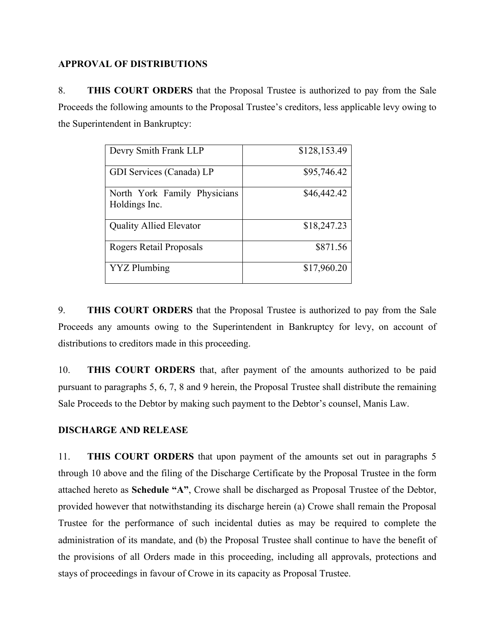### **APPROVAL OF DISTRIBUTIONS**

8. **THIS COURT ORDERS** that the Proposal Trustee is authorized to pay from the Sale Proceeds the following amounts to the Proposal Trustee's creditors, less applicable levy owing to the Superintendent in Bankruptcy:

| Devry Smith Frank LLP                         | \$128,153.49 |
|-----------------------------------------------|--------------|
| GDI Services (Canada) LP                      | \$95,746.42  |
| North York Family Physicians<br>Holdings Inc. | \$46,442.42  |
| <b>Quality Allied Elevator</b>                | \$18,247.23  |
| Rogers Retail Proposals                       | \$871.56     |
| <b>YYZ</b> Plumbing                           | \$17,960.20  |

9. **THIS COURT ORDERS** that the Proposal Trustee is authorized to pay from the Sale Proceeds any amounts owing to the Superintendent in Bankruptcy for levy, on account of distributions to creditors made in this proceeding.

10. **THIS COURT ORDERS** that, after payment of the amounts authorized to be paid pursuant to paragraphs 5, 6, 7, 8 and 9 herein, the Proposal Trustee shall distribute the remaining Sale Proceeds to the Debtor by making such payment to the Debtor's counsel, Manis Law.

# **DISCHARGE AND RELEASE**

11. **THIS COURT ORDERS** that upon payment of the amounts set out in paragraphs 5 through 10 above and the filing of the Discharge Certificate by the Proposal Trustee in the form attached hereto as **Schedule "A"**, Crowe shall be discharged as Proposal Trustee of the Debtor, provided however that notwithstanding its discharge herein (a) Crowe shall remain the Proposal Trustee for the performance of such incidental duties as may be required to complete the administration of its mandate, and (b) the Proposal Trustee shall continue to have the benefit of the provisions of all Orders made in this proceeding, including all approvals, protections and stays of proceedings in favour of Crowe in its capacity as Proposal Trustee.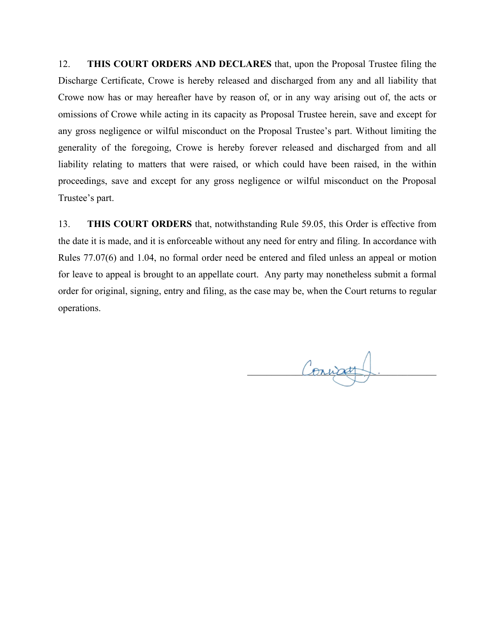12. **THIS COURT ORDERS AND DECLARES** that, upon the Proposal Trustee filing the Discharge Certificate, Crowe is hereby released and discharged from any and all liability that Crowe now has or may hereafter have by reason of, or in any way arising out of, the acts or omissions of Crowe while acting in its capacity as Proposal Trustee herein, save and except for any gross negligence or wilful misconduct on the Proposal Trustee's part. Without limiting the generality of the foregoing, Crowe is hereby forever released and discharged from and all liability relating to matters that were raised, or which could have been raised, in the within proceedings, save and except for any gross negligence or wilful misconduct on the Proposal Trustee's part.

13. **THIS COURT ORDERS** that, notwithstanding Rule 59.05, this Order is effective from the date it is made, and it is enforceable without any need for entry and filing. In accordance with Rules 77.07(6) and 1.04, no formal order need be entered and filed unless an appeal or motion for leave to appeal is brought to an appellate court. Any party may nonetheless submit a formal order for original, signing, entry and filing, as the case may be, when the Court returns to regular operations.

Connet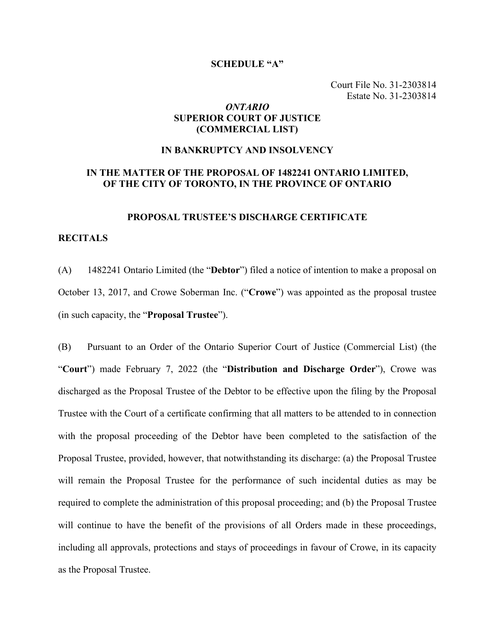#### **SCHEDULE "A"**

Court File No. 31-2303814 Estate No. 31-2303814

### *ONTARIO* **SUPERIOR COURT OF JUSTICE (COMMERCIAL LIST)**

#### **IN BANKRUPTCY AND INSOLVENCY**

### **IN THE MATTER OF THE PROPOSAL OF 1482241 ONTARIO LIMITED, OF THE CITY OF TORONTO, IN THE PROVINCE OF ONTARIO**

#### **PROPOSAL TRUSTEE'S DISCHARGE CERTIFICATE**

#### **RECITALS**

(A) 1482241 Ontario Limited (the "**Debtor**") filed a notice of intention to make a proposal on October 13, 2017, and Crowe Soberman Inc. ("**Crowe**") was appointed as the proposal trustee (in such capacity, the "**Proposal Trustee**").

(B) Pursuant to an Order of the Ontario Superior Court of Justice (Commercial List) (the "**Court**") made February 7, 2022 (the "**Distribution and Discharge Order**"), Crowe was discharged as the Proposal Trustee of the Debtor to be effective upon the filing by the Proposal Trustee with the Court of a certificate confirming that all matters to be attended to in connection with the proposal proceeding of the Debtor have been completed to the satisfaction of the Proposal Trustee, provided, however, that notwithstanding its discharge: (a) the Proposal Trustee will remain the Proposal Trustee for the performance of such incidental duties as may be required to complete the administration of this proposal proceeding; and (b) the Proposal Trustee will continue to have the benefit of the provisions of all Orders made in these proceedings, including all approvals, protections and stays of proceedings in favour of Crowe, in its capacity as the Proposal Trustee.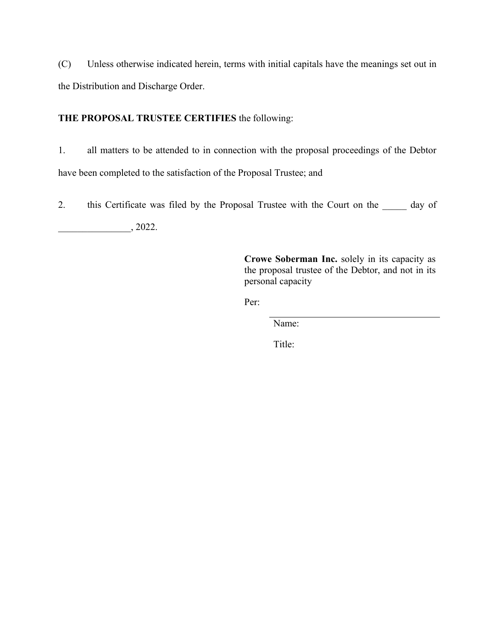(C) Unless otherwise indicated herein, terms with initial capitals have the meanings set out in the Distribution and Discharge Order.

# **THE PROPOSAL TRUSTEE CERTIFIES** the following:

1. all matters to be attended to in connection with the proposal proceedings of the Debtor have been completed to the satisfaction of the Proposal Trustee; and

2. this Certificate was filed by the Proposal Trustee with the Court on the  $\qquad$  day of

 $\overline{\phantom{1.5}}$ , 2022.

**Crowe Soberman Inc.** solely in its capacity as the proposal trustee of the Debtor, and not in its personal capacity

Per:

Name:

Title: